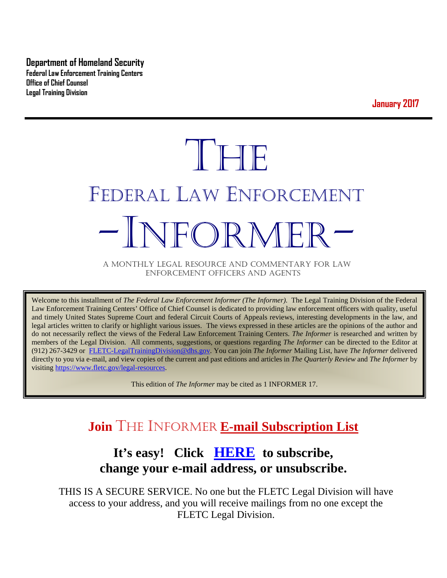**Department of Homeland Security Federal Law Enforcement Training Centers Office of Chief Counsel Legal Training Division** 

**January 2017**

# THE FEDERAL LAW ENFORCEMENT -INFORMER- A MONTHLY LEGAL RESOURCE AND COMMENTARY FOR LAW

ENFORCEMENT OFFICERS AND AGENTS

Welcome to this installment of *The Federal Law Enforcement Informer (The Informer).* The Legal Training Division of the Federal Law Enforcement Training Centers' Office of Chief Counsel is dedicated to providing law enforcement officers with quality, useful and timely United States Supreme Court and federal Circuit Courts of Appeals reviews, interesting developments in the law, and legal articles written to clarify or highlight various issues. The views expressed in these articles are the opinions of the author and do not necessarily reflect the views of the Federal Law Enforcement Training Centers. *The Informer* is researched and written by members of the Legal Division. All comments, suggestions, or questions regarding *The Informer* can be directed to the Editor at (912) 267-3429 or [FLETC-LegalTrainingDivision@dhs.gov.](mailto:FLETC-LegalTrainingDivision@dhs.gov) You can join *The Informer* Mailing List, have *The Informer* delivered directly to you via e-mail, and view copies of the current and past editions and articles in *The Quarterly Review* and *The Informer* by visiting [https://www.fletc.gov/legal-resources.](https://www.fletc.gov/legal-resources) 

This edition of *The Informer* may be cited as 1 INFORMER 17.

# **Join** THE INFORMER **E-mail Subscription List**

# **It's easy! Click [HERE](http://peach.ease.lsoft.com/scripts/wa.exe?SUBED1=fletclgd&A=1) to subscribe, change your e-mail address, or unsubscribe.**

THIS IS A SECURE SERVICE. No one but the FLETC Legal Division will have access to your address, and you will receive mailings from no one except the FLETC Legal Division.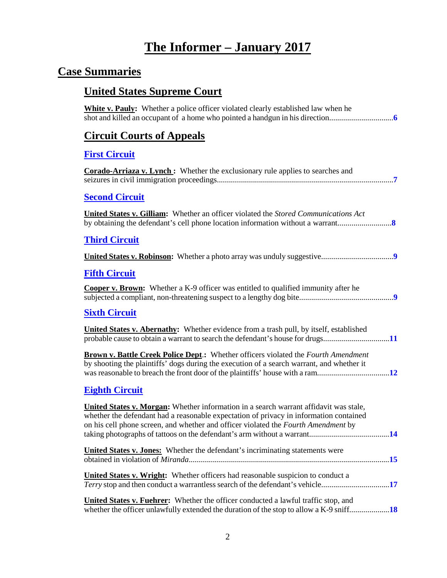# **The Informer – January 2017**

# **Case Summaries**

# **United States Supreme Court**

| <b>White v. Pauly:</b> Whether a police officer violated clearly established law when he                                                                                                                                                                              |
|-----------------------------------------------------------------------------------------------------------------------------------------------------------------------------------------------------------------------------------------------------------------------|
| <b>Circuit Courts of Appeals</b>                                                                                                                                                                                                                                      |
| <b>First Circuit</b>                                                                                                                                                                                                                                                  |
| <b>Corado-Arriaza v. Lynch:</b> Whether the exclusionary rule applies to searches and                                                                                                                                                                                 |
| <b>Second Circuit</b>                                                                                                                                                                                                                                                 |
| <b>United States v. Gilliam:</b> Whether an officer violated the <i>Stored Communications Act</i>                                                                                                                                                                     |
| <b>Third Circuit</b>                                                                                                                                                                                                                                                  |
|                                                                                                                                                                                                                                                                       |
| <b>Fifth Circuit</b>                                                                                                                                                                                                                                                  |
| <b>Cooper v. Brown:</b> Whether a K-9 officer was entitled to qualified immunity after he                                                                                                                                                                             |
| <b>Sixth Circuit</b>                                                                                                                                                                                                                                                  |
| <b>United States v. Abernathy:</b> Whether evidence from a trash pull, by itself, established<br>probable cause to obtain a warrant to search the defendant's house for drugs11                                                                                       |
| <b>Brown v. Battle Creek Police Dept.:</b> Whether officers violated the Fourth Amendment<br>by shooting the plaintiffs' dogs during the execution of a search warrant, and whether it                                                                                |
| <b>Eighth Circuit</b>                                                                                                                                                                                                                                                 |
| United States v. Morgan: Whether information in a search warrant affidavit was stale,<br>whether the defendant had a reasonable expectation of privacy in information contained<br>on his cell phone screen, and whether and officer violated the Fourth Amendment by |
| <b>United States v. Jones:</b> Whether the defendant's incriminating statements were                                                                                                                                                                                  |
| United States v. Wright: Whether officers had reasonable suspicion to conduct a<br>Terry stop and then conduct a warrantless search of the defendant's vehicle17                                                                                                      |
| <b>United States v. Fuehrer:</b> Whether the officer conducted a lawful traffic stop, and<br>whether the officer unlawfully extended the duration of the stop to allow a K-9 sniff18                                                                                  |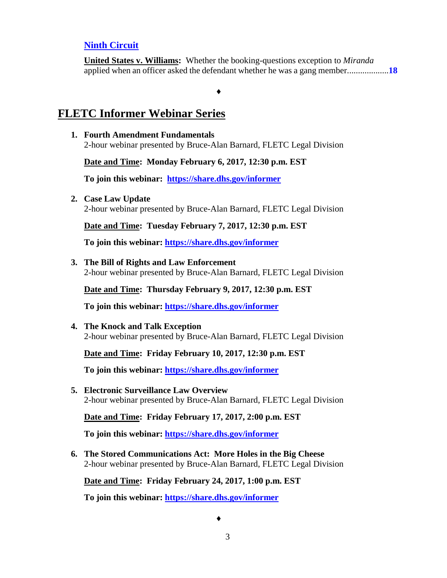#### **[Ninth Circuit](#page-17-1)**

**United States v. Williams:** Whether the booking-questions exception to *Miranda* applied when an officer asked the defendant whether he was a gang member...................**[18](#page-17-2)**

#### **FLETC Informer Webinar Series**

**1. Fourth Amendment Fundamentals** 2-hour webinar presented by Bruce-Alan Barnard, FLETC Legal Division

♦

#### **Date and Time: Monday February 6, 2017, 12:30 p.m. EST**

**To join this webinar: <https://share.dhs.gov/informer>**

**2. Case Law Update**

2-hour webinar presented by Bruce-Alan Barnard, FLETC Legal Division

**Date and Time: Tuesday February 7, 2017, 12:30 p.m. EST**

**To join this webinar:<https://share.dhs.gov/informer>**

#### **3. The Bill of Rights and Law Enforcement**

2-hour webinar presented by Bruce-Alan Barnard, FLETC Legal Division

**Date and Time: Thursday February 9, 2017, 12:30 p.m. EST**

**To join this webinar:<https://share.dhs.gov/informer>**

**4. The Knock and Talk Exception** 2-hour webinar presented by Bruce-Alan Barnard, FLETC Legal Division

**Date and Time: Friday February 10, 2017, 12:30 p.m. EST**

**To join this webinar:<https://share.dhs.gov/informer>** 

**5. Electronic Surveillance Law Overview** 2-hour webinar presented by Bruce-Alan Barnard, FLETC Legal Division

**Date and Time: Friday February 17, 2017, 2:00 p.m. EST**

**To join this webinar:<https://share.dhs.gov/informer>**

**6. The Stored Communications Act: More Holes in the Big Cheese** 2-hour webinar presented by Bruce-Alan Barnard, FLETC Legal Division

**Date and Time: Friday February 24, 2017, 1:00 p.m. EST**

**To join this webinar:<https://share.dhs.gov/informer>**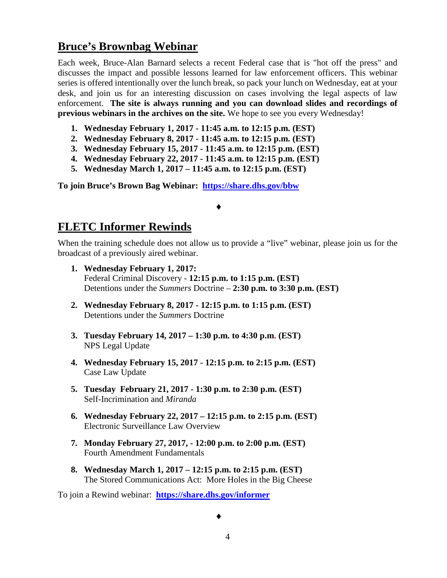## **Bruce's Brownbag Webinar**

Each week, Bruce-Alan Barnard selects a recent Federal case that is "hot off the press" and discusses the impact and possible lessons learned for law enforcement officers. This webinar series is offered intentionally over the lunch break, so pack your lunch on Wednesday, eat at your desk, and join us for an interesting discussion on cases involving the legal aspects of law enforcement. **The site is always running and you can download slides and recordings of previous webinars in the archives on the site.** We hope to see you every Wednesday!

- **1. Wednesday February 1, 2017 - 11:45 a.m. to 12:15 p.m. (EST)**
- **2. Wednesday February 8, 2017 - 11:45 a.m. to 12:15 p.m. (EST)**
- **3. Wednesday February 15, 2017 - 11:45 a.m. to 12:15 p.m. (EST)**
- **4. Wednesday February 22, 2017 - 11:45 a.m. to 12:15 p.m. (EST)**
- **5. Wednesday March 1, 2017 – 11:45 a.m. to 12:15 p.m. (EST)**

**To join Bruce's Brown Bag Webinar: <https://share.dhs.gov/bbw>**

#### **FLETC Informer Rewinds**

When the training schedule does not allow us to provide a "live" webinar, please join us for the broadcast of a previously aired webinar.

♦

- **1. Wednesday February 1, 2017:**  Federal Criminal Discovery - **12:15 p.m. to 1:15 p.m. (EST)** Detentions under the *Summers* Doctrine – **2:30 p.m. to 3:30 p.m. (EST)**
- **2. Wednesday February 8, 2017 - 12:15 p.m. to 1:15 p.m. (EST)** Detentions under the *Summers* Doctrine
- **3. Tuesday February 14, 2017 – 1:30 p.m. to 4:30 p.m. (EST)**  NPS Legal Update
- **4. Wednesday February 15, 2017 - 12:15 p.m. to 2:15 p.m. (EST)** Case Law Update
- **5. Tuesday February 21, 2017 - 1:30 p.m. to 2:30 p.m. (EST)** Self-Incrimination and *Miranda*
- **6. Wednesday February 22, 2017 – 12:15 p.m. to 2:15 p.m. (EST)** Electronic Surveillance Law Overview
- **7. Monday February 27, 2017, - 12:00 p.m. to 2:00 p.m. (EST)** Fourth Amendment Fundamentals
- **8. Wednesday March 1, 2017 – 12:15 p.m. to 2:15 p.m. (EST)** The Stored Communications Act: More Holes in the Big Cheese

To join a Rewind webinar: **<https://share.dhs.gov/informer>**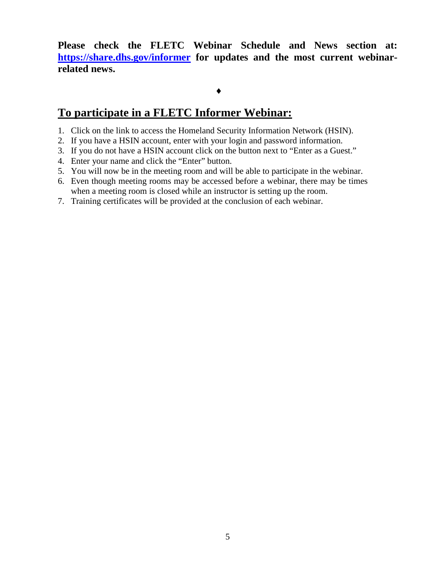**Please check the FLETC Webinar Schedule and News section at: <https://share.dhs.gov/informer> for updates and the most current webinarrelated news.** 

#### ♦

### **To participate in a FLETC Informer Webinar:**

- 1. Click on the link to access the Homeland Security Information Network (HSIN).
- 2. If you have a HSIN account, enter with your login and password information.
- 3. If you do not have a HSIN account click on the button next to "Enter as a Guest."
- 4. Enter your name and click the "Enter" button.
- 5. You will now be in the meeting room and will be able to participate in the webinar.
- 6. Even though meeting rooms may be accessed before a webinar, there may be times when a meeting room is closed while an instructor is setting up the room.
- 7. Training certificates will be provided at the conclusion of each webinar.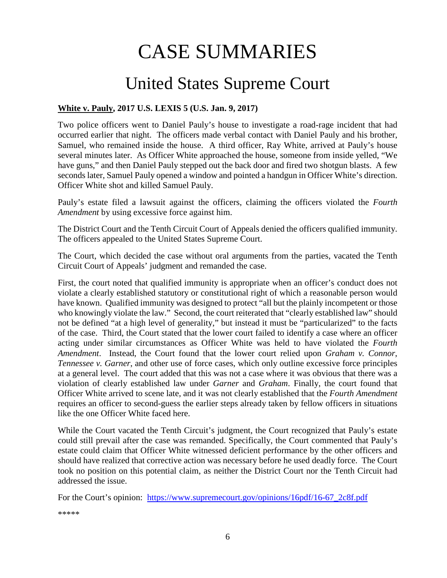# CASE SUMMARIES

# United States Supreme Court

#### <span id="page-5-1"></span><span id="page-5-0"></span>**White v. Pauly, 2017 U.S. LEXIS 5 (U.S. Jan. 9, 2017)**

Two police officers went to Daniel Pauly's house to investigate a road-rage incident that had occurred earlier that night. The officers made verbal contact with Daniel Pauly and his brother, Samuel, who remained inside the house. A third officer, Ray White, arrived at Pauly's house several minutes later. As Officer White approached the house, someone from inside yelled, "We have guns," and then Daniel Pauly stepped out the back door and fired two shotgun blasts. A few seconds later, Samuel Pauly opened a window and pointed a handgun in Officer White's direction. Officer White shot and killed Samuel Pauly.

Pauly's estate filed a lawsuit against the officers, claiming the officers violated the *Fourth Amendment* by using excessive force against him.

The District Court and the Tenth Circuit Court of Appeals denied the officers qualified immunity. The officers appealed to the United States Supreme Court.

The Court, which decided the case without oral arguments from the parties, vacated the Tenth Circuit Court of Appeals' judgment and remanded the case.

First, the court noted that qualified immunity is appropriate when an officer's conduct does not violate a clearly established statutory or constitutional right of which a reasonable person would have known. Qualified immunity was designed to protect "all but the plainly incompetent or those who knowingly violate the law." Second, the court reiterated that "clearly established law" should not be defined "at a high level of generality," but instead it must be "particularized" to the facts of the case. Third, the Court stated that the lower court failed to identify a case where an officer acting under similar circumstances as Officer White was held to have violated the *Fourth Amendment*. Instead, the Court found that the lower court relied upon *Graham v. Connor*, *Tennessee v. Garner*, and other use of force cases, which only outline excessive force principles at a general level. The court added that this was not a case where it was obvious that there was a violation of clearly established law under *Garner* and *Graham*. Finally, the court found that Officer White arrived to scene late, and it was not clearly established that the *Fourth Amendment* requires an officer to second-guess the earlier steps already taken by fellow officers in situations like the one Officer White faced here.

While the Court vacated the Tenth Circuit's judgment, the Court recognized that Pauly's estate could still prevail after the case was remanded. Specifically, the Court commented that Pauly's estate could claim that Officer White witnessed deficient performance by the other officers and should have realized that corrective action was necessary before he used deadly force. The Court took no position on this potential claim, as neither the District Court nor the Tenth Circuit had addressed the issue.

For the Court's opinion: [https://www.supremecourt.gov/opinions/16pdf/16-67\\_2c8f.pdf](https://www.supremecourt.gov/opinions/16pdf/16-67_2c8f.pdf)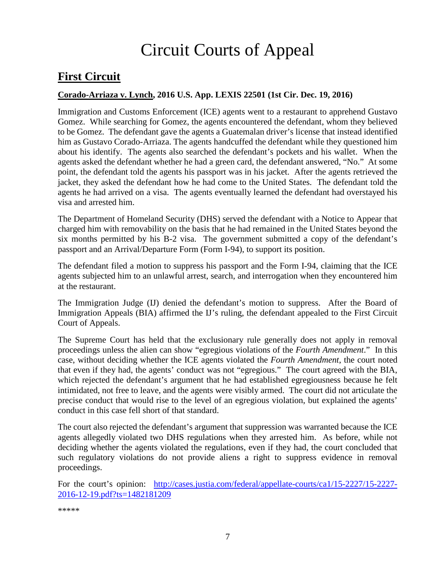# Circuit Courts of Appeal

# <span id="page-6-0"></span>**First Circuit**

#### <span id="page-6-1"></span>**Corado-Arriaza v. Lynch, 2016 U.S. App. LEXIS 22501 (1st Cir. Dec. 19, 2016)**

Immigration and Customs Enforcement (ICE) agents went to a restaurant to apprehend Gustavo Gomez. While searching for Gomez, the agents encountered the defendant, whom they believed to be Gomez. The defendant gave the agents a Guatemalan driver's license that instead identified him as Gustavo Corado-Arriaza. The agents handcuffed the defendant while they questioned him about his identify. The agents also searched the defendant's pockets and his wallet. When the agents asked the defendant whether he had a green card, the defendant answered, "No." At some point, the defendant told the agents his passport was in his jacket. After the agents retrieved the jacket, they asked the defendant how he had come to the United States. The defendant told the agents he had arrived on a visa. The agents eventually learned the defendant had overstayed his visa and arrested him.

The Department of Homeland Security (DHS) served the defendant with a Notice to Appear that charged him with removability on the basis that he had remained in the United States beyond the six months permitted by his B-2 visa. The government submitted a copy of the defendant's passport and an Arrival/Departure Form (Form I-94), to support its position.

The defendant filed a motion to suppress his passport and the Form I-94, claiming that the ICE agents subjected him to an unlawful arrest, search, and interrogation when they encountered him at the restaurant.

The Immigration Judge (IJ) denied the defendant's motion to suppress. After the Board of Immigration Appeals (BIA) affirmed the IJ's ruling, the defendant appealed to the First Circuit Court of Appeals.

The Supreme Court has held that the exclusionary rule generally does not apply in removal proceedings unless the alien can show "egregious violations of the *Fourth Amendment*." In this case, without deciding whether the ICE agents violated the *Fourth Amendment*, the court noted that even if they had, the agents' conduct was not "egregious." The court agreed with the BIA, which rejected the defendant's argument that he had established egregiousness because he felt intimidated, not free to leave, and the agents were visibly armed. The court did not articulate the precise conduct that would rise to the level of an egregious violation, but explained the agents' conduct in this case fell short of that standard.

The court also rejected the defendant's argument that suppression was warranted because the ICE agents allegedly violated two DHS regulations when they arrested him. As before, while not deciding whether the agents violated the regulations, even if they had, the court concluded that such regulatory violations do not provide aliens a right to suppress evidence in removal proceedings.

For the court's opinion: [http://cases.justia.com/federal/appellate-courts/ca1/15-2227/15-2227-](http://cases.justia.com/federal/appellate-courts/ca1/15-2227/15-2227-2016-12-19.pdf?ts=1482181209) [2016-12-19.pdf?ts=1482181209](http://cases.justia.com/federal/appellate-courts/ca1/15-2227/15-2227-2016-12-19.pdf?ts=1482181209)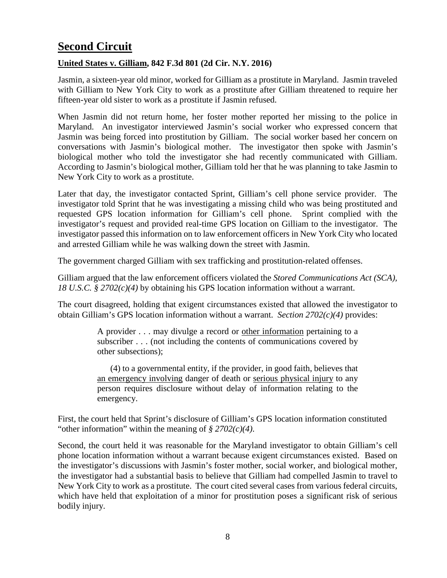# <span id="page-7-0"></span>**Second Circuit**

#### <span id="page-7-1"></span>**United States v. Gilliam, 842 F.3d 801 (2d Cir. N.Y. 2016)**

Jasmin, a sixteen-year old minor, worked for Gilliam as a prostitute in Maryland. Jasmin traveled with Gilliam to New York City to work as a prostitute after Gilliam threatened to require her fifteen-year old sister to work as a prostitute if Jasmin refused.

When Jasmin did not return home, her foster mother reported her missing to the police in Maryland. An investigator interviewed Jasmin's social worker who expressed concern that Jasmin was being forced into prostitution by Gilliam. The social worker based her concern on conversations with Jasmin's biological mother. The investigator then spoke with Jasmin's biological mother who told the investigator she had recently communicated with Gilliam. According to Jasmin's biological mother, Gilliam told her that he was planning to take Jasmin to New York City to work as a prostitute.

Later that day, the investigator contacted Sprint, Gilliam's cell phone service provider. The investigator told Sprint that he was investigating a missing child who was being prostituted and requested GPS location information for Gilliam's cell phone. Sprint complied with the investigator's request and provided real-time GPS location on Gilliam to the investigator. The investigator passed this information on to law enforcement officers in New York City who located and arrested Gilliam while he was walking down the street with Jasmin.

The government charged Gilliam with sex trafficking and prostitution-related offenses.

Gilliam argued that the law enforcement officers violated the *Stored Communications Act (SCA), 18 U.S.C. § 2702(c)(4)* by obtaining his GPS location information without a warrant.

The court disagreed, holding that exigent circumstances existed that allowed the investigator to obtain Gilliam's GPS location information without a warrant. *Section 2702(c)(4)* provides:

> A provider . . . may divulge a record or other information pertaining to a subscriber . . . (not including the contents of communications covered by other subsections);

> (4) to a governmental entity, if the provider, in good faith, believes that an emergency involving danger of death or serious physical injury to any person requires disclosure without delay of information relating to the emergency.

First, the court held that Sprint's disclosure of Gilliam's GPS location information constituted "other information" within the meaning of *§ 2702(c)(4)*.

Second, the court held it was reasonable for the Maryland investigator to obtain Gilliam's cell phone location information without a warrant because exigent circumstances existed. Based on the investigator's discussions with Jasmin's foster mother, social worker, and biological mother, the investigator had a substantial basis to believe that Gilliam had compelled Jasmin to travel to New York City to work as a prostitute. The court cited several cases from various federal circuits, which have held that exploitation of a minor for prostitution poses a significant risk of serious bodily injury.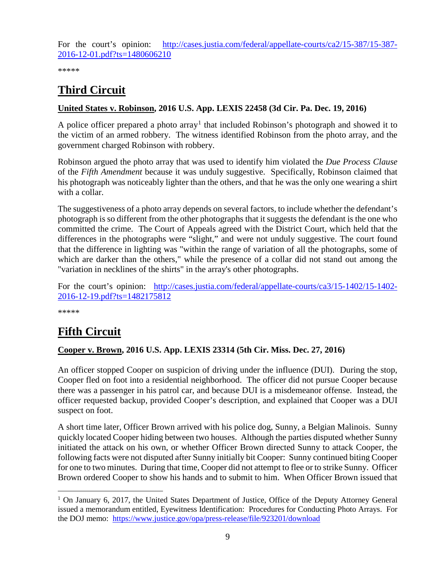For the court's opinion: [http://cases.justia.com/federal/appellate-courts/ca2/15-387/15-387-](http://cases.justia.com/federal/appellate-courts/ca2/15-387/15-387-2016-12-01.pdf?ts=1480606210) [2016-12-01.pdf?ts=1480606210](http://cases.justia.com/federal/appellate-courts/ca2/15-387/15-387-2016-12-01.pdf?ts=1480606210)

\*\*\*\*\*

# <span id="page-8-0"></span>**Third Circuit**

#### <span id="page-8-1"></span>**United States v. Robinson, 2016 U.S. App. LEXIS 22458 (3d Cir. Pa. Dec. 19, 2016)**

A police officer prepared a photo array<sup>[1](#page-8-4)</sup> that included Robinson's photograph and showed it to the victim of an armed robbery. The witness identified Robinson from the photo array, and the government charged Robinson with robbery.

Robinson argued the photo array that was used to identify him violated the *Due Process Clause* of the *Fifth Amendment* because it was unduly suggestive. Specifically, Robinson claimed that his photograph was noticeably lighter than the others, and that he was the only one wearing a shirt with a collar.

The suggestiveness of a photo array depends on several factors, to include whether the defendant's photograph is so different from the other photographs that it suggests the defendant is the one who committed the crime. The Court of Appeals agreed with the District Court, which held that the differences in the photographs were "slight," and were not unduly suggestive. The court found that the difference in lighting was "within the range of variation of all the photographs, some of which are darker than the others," while the presence of a collar did not stand out among the "variation in necklines of the shirts" in the array's other photographs.

For the court's opinion: [http://cases.justia.com/federal/appellate-courts/ca3/15-1402/15-1402-](http://cases.justia.com/federal/appellate-courts/ca3/15-1402/15-1402-2016-12-19.pdf?ts=1482175812) [2016-12-19.pdf?ts=1482175812](http://cases.justia.com/federal/appellate-courts/ca3/15-1402/15-1402-2016-12-19.pdf?ts=1482175812)

\*\*\*\*\*

# <span id="page-8-2"></span>**Fifth Circuit**

#### <span id="page-8-3"></span>**Cooper v. Brown, 2016 U.S. App. LEXIS 23314 (5th Cir. Miss. Dec. 27, 2016)**

An officer stopped Cooper on suspicion of driving under the influence (DUI). During the stop, Cooper fled on foot into a residential neighborhood. The officer did not pursue Cooper because there was a passenger in his patrol car, and because DUI is a misdemeanor offense. Instead, the officer requested backup, provided Cooper's description, and explained that Cooper was a DUI suspect on foot.

A short time later, Officer Brown arrived with his police dog, Sunny, a Belgian Malinois. Sunny quickly located Cooper hiding between two houses. Although the parties disputed whether Sunny initiated the attack on his own, or whether Officer Brown directed Sunny to attack Cooper, the following facts were not disputed after Sunny initially bit Cooper: Sunny continued biting Cooper for one to two minutes. During that time, Cooper did not attempt to flee or to strike Sunny. Officer Brown ordered Cooper to show his hands and to submit to him. When Officer Brown issued that

<span id="page-8-4"></span><sup>&</sup>lt;sup>1</sup> On January 6, 2017, the United States Department of Justice, Office of the Deputy Attorney General issued a memorandum entitled, Eyewitness Identification: Procedures for Conducting Photo Arrays. For the DOJ memo: <https://www.justice.gov/opa/press-release/file/923201/download>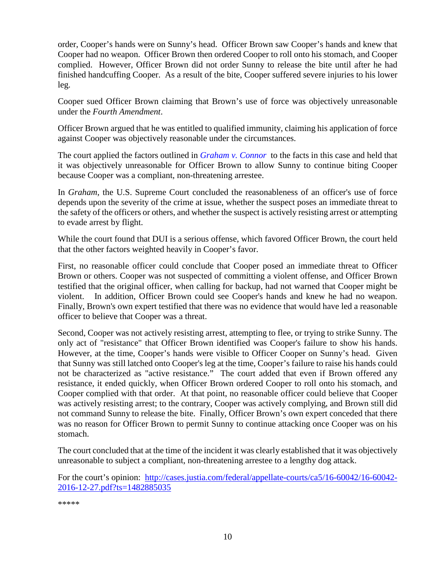order, Cooper's hands were on Sunny's head. Officer Brown saw Cooper's hands and knew that Cooper had no weapon. Officer Brown then ordered Cooper to roll onto his stomach, and Cooper complied. However, Officer Brown did not order Sunny to release the bite until after he had finished handcuffing Cooper. As a result of the bite, Cooper suffered severe injuries to his lower leg.

Cooper sued Officer Brown claiming that Brown's use of force was objectively unreasonable under the *Fourth Amendment*.

Officer Brown argued that he was entitled to qualified immunity, claiming his application of force against Cooper was objectively reasonable under the circumstances.

The court applied the factors outlined in *[Graham v. Connor](https://supreme.justia.com/cases/federal/us/490/386/case.html)* to the facts in this case and held that it was objectively unreasonable for Officer Brown to allow Sunny to continue biting Cooper because Cooper was a compliant, non-threatening arrestee.

In *Graham*, the U.S. Supreme Court concluded the reasonableness of an officer's use of force depends upon the severity of the crime at issue, whether the suspect poses an immediate threat to the safety of the officers or others, and whether the suspect is actively resisting arrest or attempting to evade arrest by flight.

While the court found that DUI is a serious offense, which favored Officer Brown, the court held that the other factors weighted heavily in Cooper's favor.

First, no reasonable officer could conclude that Cooper posed an immediate threat to Officer Brown or others. Cooper was not suspected of committing a violent offense, and Officer Brown testified that the original officer, when calling for backup, had not warned that Cooper might be violent. In addition, Officer Brown could see Cooper's hands and knew he had no weapon. Finally, Brown's own expert testified that there was no evidence that would have led a reasonable officer to believe that Cooper was a threat.

Second, Cooper was not actively resisting arrest, attempting to flee, or trying to strike Sunny. The only act of "resistance" that Officer Brown identified was Cooper's failure to show his hands. However, at the time, Cooper's hands were visible to Officer Cooper on Sunny's head. Given that Sunny was still latched onto Cooper's leg at the time, Cooper's failure to raise his hands could not be characterized as "active resistance." The court added that even if Brown offered any resistance, it ended quickly, when Officer Brown ordered Cooper to roll onto his stomach, and Cooper complied with that order. At that point, no reasonable officer could believe that Cooper was actively resisting arrest; to the contrary, Cooper was actively complying, and Brown still did not command Sunny to release the bite. Finally, Officer Brown's own expert conceded that there was no reason for Officer Brown to permit Sunny to continue attacking once Cooper was on his stomach.

The court concluded that at the time of the incident it was clearly established that it was objectively unreasonable to subject a compliant, non-threatening arrestee to a lengthy dog attack.

For the court's opinion: [http://cases.justia.com/federal/appellate-courts/ca5/16-60042/16-60042-](http://cases.justia.com/federal/appellate-courts/ca5/16-60042/16-60042-2016-12-27.pdf?ts=1482885035) [2016-12-27.pdf?ts=1482885035](http://cases.justia.com/federal/appellate-courts/ca5/16-60042/16-60042-2016-12-27.pdf?ts=1482885035)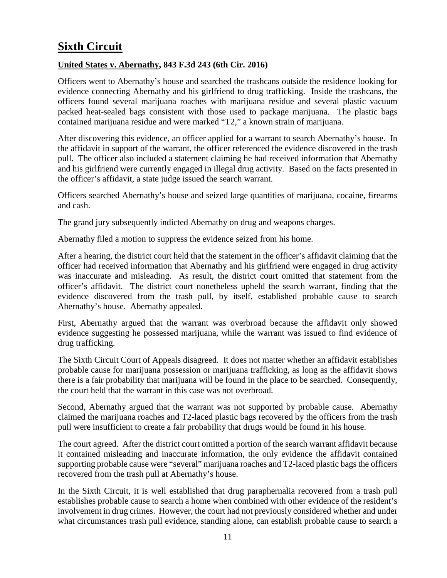# <span id="page-10-0"></span>**Sixth Circuit**

#### <span id="page-10-1"></span>**United States v. Abernathy, 843 F.3d 243 (6th Cir. 2016)**

Officers went to Abernathy's house and searched the trashcans outside the residence looking for evidence connecting Abernathy and his girlfriend to drug trafficking. Inside the trashcans, the officers found several marijuana roaches with marijuana residue and several plastic vacuum packed heat-sealed bags consistent with those used to package marijuana. The plastic bags contained marijuana residue and were marked "T2," a known strain of marijuana.

After discovering this evidence, an officer applied for a warrant to search Abernathy's house. In the affidavit in support of the warrant, the officer referenced the evidence discovered in the trash pull. The officer also included a statement claiming he had received information that Abernathy and his girlfriend were currently engaged in illegal drug activity. Based on the facts presented in the officer's affidavit, a state judge issued the search warrant.

Officers searched Abernathy's house and seized large quantities of marijuana, cocaine, firearms and cash.

The grand jury subsequently indicted Abernathy on drug and weapons charges.

Abernathy filed a motion to suppress the evidence seized from his home.

After a hearing, the district court held that the statement in the officer's affidavit claiming that the officer had received information that Abernathy and his girlfriend were engaged in drug activity was inaccurate and misleading. As result, the district court omitted that statement from the officer's affidavit. The district court nonetheless upheld the search warrant, finding that the evidence discovered from the trash pull, by itself, established probable cause to search Abernathy's house. Abernathy appealed.

First, Abernathy argued that the warrant was overbroad because the affidavit only showed evidence suggesting he possessed marijuana, while the warrant was issued to find evidence of drug trafficking.

The Sixth Circuit Court of Appeals disagreed. It does not matter whether an affidavit establishes probable cause for marijuana possession or marijuana trafficking, as long as the affidavit shows there is a fair probability that marijuana will be found in the place to be searched. Consequently, the court held that the warrant in this case was not overbroad.

Second, Abernathy argued that the warrant was not supported by probable cause. Abernathy claimed the marijuana roaches and T2-laced plastic bags recovered by the officers from the trash pull were insufficient to create a fair probability that drugs would be found in his house.

The court agreed. After the district court omitted a portion of the search warrant affidavit because it contained misleading and inaccurate information, the only evidence the affidavit contained supporting probable cause were "several" marijuana roaches and T2-laced plastic bags the officers recovered from the trash pull at Abernathy's house.

In the Sixth Circuit, it is well established that drug paraphernalia recovered from a trash pull establishes probable cause to search a home when combined with other evidence of the resident's involvement in drug crimes. However, the court had not previously considered whether and under what circumstances trash pull evidence, standing alone, can establish probable cause to search a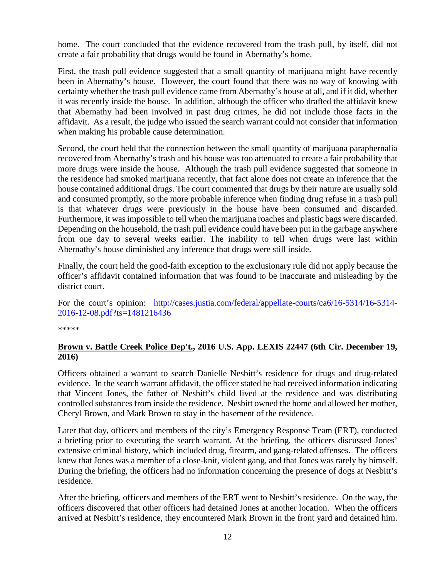home. The court concluded that the evidence recovered from the trash pull, by itself, did not create a fair probability that drugs would be found in Abernathy's home.

First, the trash pull evidence suggested that a small quantity of marijuana might have recently been in Abernathy's house. However, the court found that there was no way of knowing with certainty whether the trash pull evidence came from Abernathy's house at all, and if it did, whether it was recently inside the house. In addition, although the officer who drafted the affidavit knew that Abernathy had been involved in past drug crimes, he did not include those facts in the affidavit. As a result, the judge who issued the search warrant could not consider that information when making his probable cause determination.

Second, the court held that the connection between the small quantity of marijuana paraphernalia recovered from Abernathy's trash and his house was too attenuated to create a fair probability that more drugs were inside the house. Although the trash pull evidence suggested that someone in the residence had smoked marijuana recently, that fact alone does not create an inference that the house contained additional drugs. The court commented that drugs by their nature are usually sold and consumed promptly, so the more probable inference when finding drug refuse in a trash pull is that whatever drugs were previously in the house have been consumed and discarded. Furthermore, it wasimpossible to tell when the marijuana roaches and plastic bags were discarded. Depending on the household, the trash pull evidence could have been put in the garbage anywhere from one day to several weeks earlier. The inability to tell when drugs were last within Abernathy's house diminished any inference that drugs were still inside.

Finally, the court held the good-faith exception to the exclusionary rule did not apply because the officer's affidavit contained information that was found to be inaccurate and misleading by the district court.

For the court's opinion: [http://cases.justia.com/federal/appellate-courts/ca6/16-5314/16-5314-](http://cases.justia.com/federal/appellate-courts/ca6/16-5314/16-5314-2016-12-08.pdf?ts=1481216436) [2016-12-08.pdf?ts=1481216436](http://cases.justia.com/federal/appellate-courts/ca6/16-5314/16-5314-2016-12-08.pdf?ts=1481216436)

\*\*\*\*\*

#### <span id="page-11-0"></span>**Brown v. Battle Creek Police Dep't., 2016 U.S. App. LEXIS 22447 (6th Cir. December 19, 2016)**

Officers obtained a warrant to search Danielle Nesbitt's residence for drugs and drug-related evidence. In the search warrant affidavit, the officer stated he had received information indicating that Vincent Jones, the father of Nesbitt's child lived at the residence and was distributing controlled substances from inside the residence. Nesbitt owned the home and allowed her mother, Cheryl Brown, and Mark Brown to stay in the basement of the residence.

Later that day, officers and members of the city's Emergency Response Team (ERT), conducted a briefing prior to executing the search warrant. At the briefing, the officers discussed Jones' extensive criminal history, which included drug, firearm, and gang-related offenses. The officers knew that Jones was a member of a close-knit, violent gang, and that Jones was rarely by himself. During the briefing, the officers had no information concerning the presence of dogs at Nesbitt's residence.

After the briefing, officers and members of the ERT went to Nesbitt's residence. On the way, the officers discovered that other officers had detained Jones at another location. When the officers arrived at Nesbitt's residence, they encountered Mark Brown in the front yard and detained him.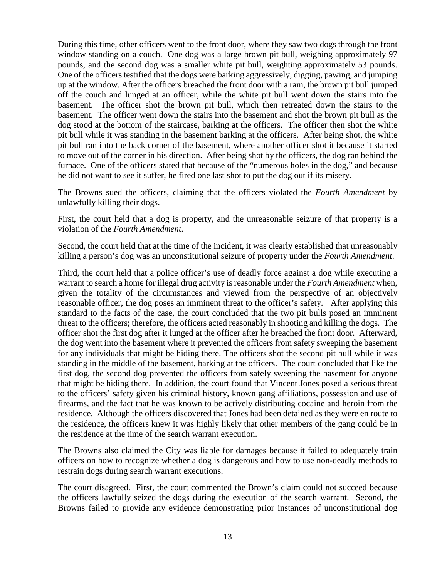During this time, other officers went to the front door, where they saw two dogs through the front window standing on a couch. One dog was a large brown pit bull, weighing approximately 97 pounds, and the second dog was a smaller white pit bull, weighting approximately 53 pounds. One of the officers testified that the dogs were barking aggressively, digging, pawing, and jumping up at the window. After the officers breached the front door with a ram, the brown pit bull jumped off the couch and lunged at an officer, while the white pit bull went down the stairs into the basement. The officer shot the brown pit bull, which then retreated down the stairs to the basement. The officer went down the stairs into the basement and shot the brown pit bull as the dog stood at the bottom of the staircase, barking at the officers. The officer then shot the white pit bull while it was standing in the basement barking at the officers. After being shot, the white pit bull ran into the back corner of the basement, where another officer shot it because it started to move out of the corner in his direction. After being shot by the officers, the dog ran behind the furnace. One of the officers stated that because of the "numerous holes in the dog," and because he did not want to see it suffer, he fired one last shot to put the dog out if its misery.

The Browns sued the officers, claiming that the officers violated the *Fourth Amendment* by unlawfully killing their dogs.

First, the court held that a dog is property, and the unreasonable seizure of that property is a violation of the *Fourth Amendment*.

Second, the court held that at the time of the incident, it was clearly established that unreasonably killing a person's dog was an unconstitutional seizure of property under the *Fourth Amendment*.

Third, the court held that a police officer's use of deadly force against a dog while executing a warrant to search a home for illegal drug activity is reasonable under the *Fourth Amendment* when, given the totality of the circumstances and viewed from the perspective of an objectively reasonable officer, the dog poses an imminent threat to the officer's safety. After applying this standard to the facts of the case, the court concluded that the two pit bulls posed an imminent threat to the officers; therefore, the officers acted reasonably in shooting and killing the dogs. The officer shot the first dog after it lunged at the officer after he breached the front door. Afterward, the dog went into the basement where it prevented the officers from safety sweeping the basement for any individuals that might be hiding there. The officers shot the second pit bull while it was standing in the middle of the basement, barking at the officers. The court concluded that like the first dog, the second dog prevented the officers from safely sweeping the basement for anyone that might be hiding there. In addition, the court found that Vincent Jones posed a serious threat to the officers' safety given his criminal history, known gang affiliations, possession and use of firearms, and the fact that he was known to be actively distributing cocaine and heroin from the residence. Although the officers discovered that Jones had been detained as they were en route to the residence, the officers knew it was highly likely that other members of the gang could be in the residence at the time of the search warrant execution.

The Browns also claimed the City was liable for damages because it failed to adequately train officers on how to recognize whether a dog is dangerous and how to use non-deadly methods to restrain dogs during search warrant executions.

The court disagreed. First, the court commented the Brown's claim could not succeed because the officers lawfully seized the dogs during the execution of the search warrant. Second, the Browns failed to provide any evidence demonstrating prior instances of unconstitutional dog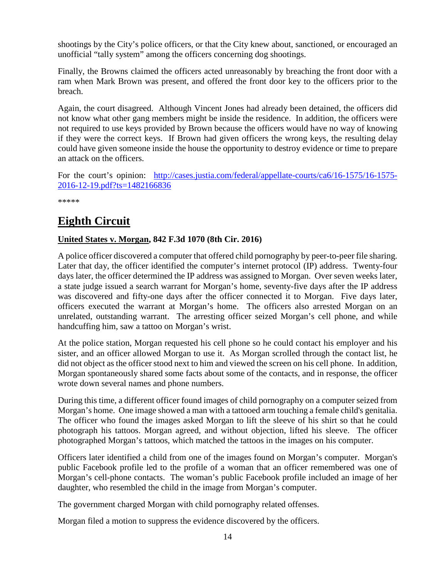shootings by the City's police officers, or that the City knew about, sanctioned, or encouraged an unofficial "tally system" among the officers concerning dog shootings.

Finally, the Browns claimed the officers acted unreasonably by breaching the front door with a ram when Mark Brown was present, and offered the front door key to the officers prior to the breach.

Again, the court disagreed. Although Vincent Jones had already been detained, the officers did not know what other gang members might be inside the residence. In addition, the officers were not required to use keys provided by Brown because the officers would have no way of knowing if they were the correct keys. If Brown had given officers the wrong keys, the resulting delay could have given someone inside the house the opportunity to destroy evidence or time to prepare an attack on the officers.

For the court's opinion: [http://cases.justia.com/federal/appellate-courts/ca6/16-1575/16-1575-](http://cases.justia.com/federal/appellate-courts/ca6/16-1575/16-1575-2016-12-19.pdf?ts=1482166836) [2016-12-19.pdf?ts=1482166836](http://cases.justia.com/federal/appellate-courts/ca6/16-1575/16-1575-2016-12-19.pdf?ts=1482166836)

\*\*\*\*\*

# <span id="page-13-0"></span>**Eighth Circuit**

#### <span id="page-13-1"></span>**United States v. Morgan, 842 F.3d 1070 (8th Cir. 2016)**

A police officer discovered a computer that offered child pornography by peer-to-peer file sharing. Later that day, the officer identified the computer's internet protocol (IP) address. Twenty-four days later, the officer determined the IP address was assigned to Morgan. Over seven weeks later, a state judge issued a search warrant for Morgan's home, seventy-five days after the IP address was discovered and fifty-one days after the officer connected it to Morgan. Five days later, officers executed the warrant at Morgan's home. The officers also arrested Morgan on an unrelated, outstanding warrant. The arresting officer seized Morgan's cell phone, and while handcuffing him, saw a tattoo on Morgan's wrist.

At the police station, Morgan requested his cell phone so he could contact his employer and his sister, and an officer allowed Morgan to use it. As Morgan scrolled through the contact list, he did not object as the officer stood next to him and viewed the screen on his cell phone. In addition, Morgan spontaneously shared some facts about some of the contacts, and in response, the officer wrote down several names and phone numbers.

During this time, a different officer found images of child pornography on a computer seized from Morgan's home. One image showed a man with a tattooed arm touching a female child's genitalia. The officer who found the images asked Morgan to lift the sleeve of his shirt so that he could photograph his tattoos. Morgan agreed, and without objection, lifted his sleeve. The officer photographed Morgan's tattoos, which matched the tattoos in the images on his computer.

Officers later identified a child from one of the images found on Morgan's computer. Morgan's public Facebook profile led to the profile of a woman that an officer remembered was one of Morgan's cell-phone contacts. The woman's public Facebook profile included an image of her daughter, who resembled the child in the image from Morgan's computer.

The government charged Morgan with child pornography related offenses.

Morgan filed a motion to suppress the evidence discovered by the officers.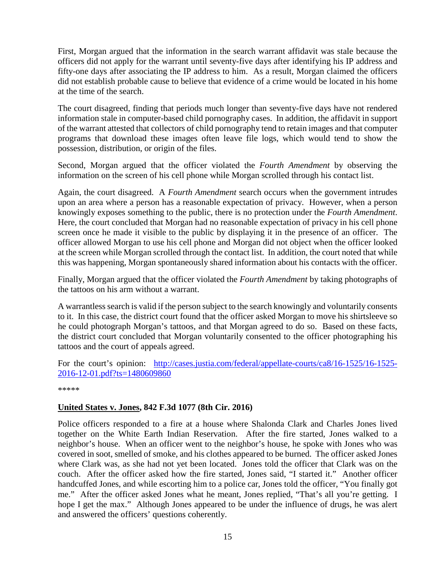First, Morgan argued that the information in the search warrant affidavit was stale because the officers did not apply for the warrant until seventy-five days after identifying his IP address and fifty-one days after associating the IP address to him. As a result, Morgan claimed the officers did not establish probable cause to believe that evidence of a crime would be located in his home at the time of the search.

The court disagreed, finding that periods much longer than seventy-five days have not rendered information stale in computer-based child pornography cases. In addition, the affidavit in support of the warrant attested that collectors of child pornography tend to retain images and that computer programs that download these images often leave file logs, which would tend to show the possession, distribution, or origin of the files.

Second, Morgan argued that the officer violated the *Fourth Amendment* by observing the information on the screen of his cell phone while Morgan scrolled through his contact list.

Again, the court disagreed. A *Fourth Amendment* search occurs when the government intrudes upon an area where a person has a reasonable expectation of privacy. However, when a person knowingly exposes something to the public, there is no protection under the *Fourth Amendment*. Here, the court concluded that Morgan had no reasonable expectation of privacy in his cell phone screen once he made it visible to the public by displaying it in the presence of an officer. The officer allowed Morgan to use his cell phone and Morgan did not object when the officer looked at the screen while Morgan scrolled through the contact list. In addition, the court noted that while this was happening, Morgan spontaneously shared information about his contacts with the officer.

Finally, Morgan argued that the officer violated the *Fourth Amendment* by taking photographs of the tattoos on his arm without a warrant.

A warrantless search is valid if the person subject to the search knowingly and voluntarily consents to it. In this case, the district court found that the officer asked Morgan to move his shirtsleeve so he could photograph Morgan's tattoos, and that Morgan agreed to do so. Based on these facts, the district court concluded that Morgan voluntarily consented to the officer photographing his tattoos and the court of appeals agreed.

For the court's opinion: [http://cases.justia.com/federal/appellate-courts/ca8/16-1525/16-1525-](http://cases.justia.com/federal/appellate-courts/ca8/16-1525/16-1525-2016-12-01.pdf?ts=1480609860) [2016-12-01.pdf?ts=1480609860](http://cases.justia.com/federal/appellate-courts/ca8/16-1525/16-1525-2016-12-01.pdf?ts=1480609860)

\*\*\*\*\*

#### <span id="page-14-0"></span>**United States v. Jones, 842 F.3d 1077 (8th Cir. 2016)**

Police officers responded to a fire at a house where Shalonda Clark and Charles Jones lived together on the White Earth Indian Reservation. After the fire started, Jones walked to a neighbor's house. When an officer went to the neighbor's house, he spoke with Jones who was covered in soot, smelled of smoke, and his clothes appeared to be burned. The officer asked Jones where Clark was, as she had not yet been located. Jones told the officer that Clark was on the couch. After the officer asked how the fire started, Jones said, "I started it." Another officer handcuffed Jones, and while escorting him to a police car, Jones told the officer, "You finally got me." After the officer asked Jones what he meant, Jones replied, "That's all you're getting. I hope I get the max." Although Jones appeared to be under the influence of drugs, he was alert and answered the officers' questions coherently.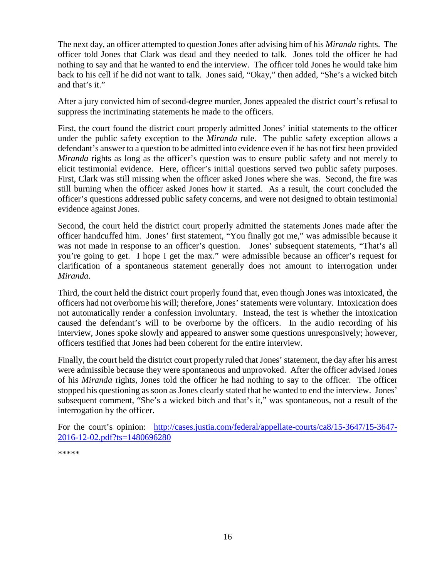The next day, an officer attempted to question Jones after advising him of his *Miranda* rights. The officer told Jones that Clark was dead and they needed to talk. Jones told the officer he had nothing to say and that he wanted to end the interview. The officer told Jones he would take him back to his cell if he did not want to talk. Jones said, "Okay," then added, "She's a wicked bitch and that's it."

After a jury convicted him of second-degree murder, Jones appealed the district court's refusal to suppress the incriminating statements he made to the officers.

First, the court found the district court properly admitted Jones' initial statements to the officer under the public safety exception to the *Miranda* rule. The public safety exception allows a defendant's answer to a question to be admitted into evidence even if he has not first been provided *Miranda* rights as long as the officer's question was to ensure public safety and not merely to elicit testimonial evidence. Here, officer's initial questions served two public safety purposes. First, Clark was still missing when the officer asked Jones where she was. Second, the fire was still burning when the officer asked Jones how it started. As a result, the court concluded the officer's questions addressed public safety concerns, and were not designed to obtain testimonial evidence against Jones.

Second, the court held the district court properly admitted the statements Jones made after the officer handcuffed him. Jones' first statement, "You finally got me," was admissible because it was not made in response to an officer's question. Jones' subsequent statements, "That's all you're going to get. I hope I get the max." were admissible because an officer's request for clarification of a spontaneous statement generally does not amount to interrogation under *Miranda*.

Third, the court held the district court properly found that, even though Jones was intoxicated, the officers had not overborne his will; therefore, Jones' statements were voluntary. Intoxication does not automatically render a confession involuntary. Instead, the test is whether the intoxication caused the defendant's will to be overborne by the officers. In the audio recording of his interview, Jones spoke slowly and appeared to answer some questions unresponsively; however, officers testified that Jones had been coherent for the entire interview.

Finally, the court held the district court properly ruled that Jones' statement, the day after his arrest were admissible because they were spontaneous and unprovoked. After the officer advised Jones of his *Miranda* rights, Jones told the officer he had nothing to say to the officer. The officer stopped his questioning as soon as Jones clearly stated that he wanted to end the interview. Jones' subsequent comment, "She's a wicked bitch and that's it," was spontaneous, not a result of the interrogation by the officer.

For the court's opinion: [http://cases.justia.com/federal/appellate-courts/ca8/15-3647/15-3647-](http://cases.justia.com/federal/appellate-courts/ca8/15-3647/15-3647-2016-12-02.pdf?ts=1480696280) [2016-12-02.pdf?ts=1480696280](http://cases.justia.com/federal/appellate-courts/ca8/15-3647/15-3647-2016-12-02.pdf?ts=1480696280)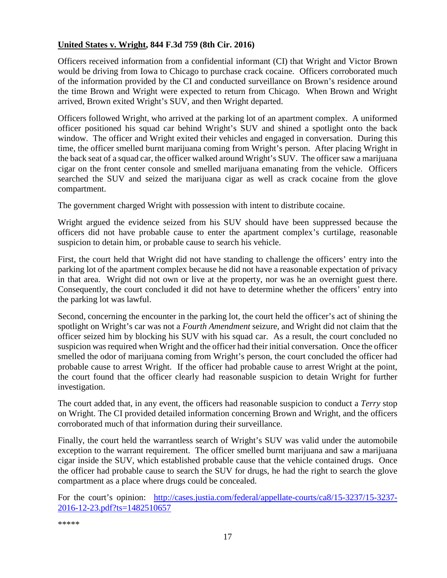#### <span id="page-16-0"></span>**United States v. Wright, 844 F.3d 759 (8th Cir. 2016)**

Officers received information from a confidential informant (CI) that Wright and Victor Brown would be driving from Iowa to Chicago to purchase crack cocaine. Officers corroborated much of the information provided by the CI and conducted surveillance on Brown's residence around the time Brown and Wright were expected to return from Chicago. When Brown and Wright arrived, Brown exited Wright's SUV, and then Wright departed.

Officers followed Wright, who arrived at the parking lot of an apartment complex. A uniformed officer positioned his squad car behind Wright's SUV and shined a spotlight onto the back window. The officer and Wright exited their vehicles and engaged in conversation. During this time, the officer smelled burnt marijuana coming from Wright's person. After placing Wright in the back seat of a squad car, the officer walked around Wright's SUV. The officer saw a marijuana cigar on the front center console and smelled marijuana emanating from the vehicle. Officers searched the SUV and seized the marijuana cigar as well as crack cocaine from the glove compartment.

The government charged Wright with possession with intent to distribute cocaine.

Wright argued the evidence seized from his SUV should have been suppressed because the officers did not have probable cause to enter the apartment complex's curtilage, reasonable suspicion to detain him, or probable cause to search his vehicle.

First, the court held that Wright did not have standing to challenge the officers' entry into the parking lot of the apartment complex because he did not have a reasonable expectation of privacy in that area. Wright did not own or live at the property, nor was he an overnight guest there. Consequently, the court concluded it did not have to determine whether the officers' entry into the parking lot was lawful.

Second, concerning the encounter in the parking lot, the court held the officer's act of shining the spotlight on Wright's car was not a *Fourth Amendment* seizure, and Wright did not claim that the officer seized him by blocking his SUV with his squad car. As a result, the court concluded no suspicion was required when Wright and the officer had their initial conversation. Once the officer smelled the odor of marijuana coming from Wright's person, the court concluded the officer had probable cause to arrest Wright. If the officer had probable cause to arrest Wright at the point, the court found that the officer clearly had reasonable suspicion to detain Wright for further investigation.

The court added that, in any event, the officers had reasonable suspicion to conduct a *Terry* stop on Wright. The CI provided detailed information concerning Brown and Wright, and the officers corroborated much of that information during their surveillance.

Finally, the court held the warrantless search of Wright's SUV was valid under the automobile exception to the warrant requirement. The officer smelled burnt marijuana and saw a marijuana cigar inside the SUV, which established probable cause that the vehicle contained drugs. Once the officer had probable cause to search the SUV for drugs, he had the right to search the glove compartment as a place where drugs could be concealed.

For the court's opinion: [http://cases.justia.com/federal/appellate-courts/ca8/15-3237/15-3237-](http://cases.justia.com/federal/appellate-courts/ca8/15-3237/15-3237-2016-12-23.pdf?ts=1482510657) [2016-12-23.pdf?ts=1482510657](http://cases.justia.com/federal/appellate-courts/ca8/15-3237/15-3237-2016-12-23.pdf?ts=1482510657)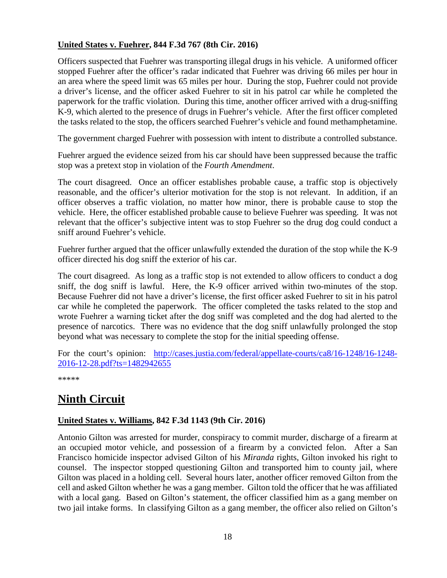#### <span id="page-17-0"></span>**United States v. Fuehrer, 844 F.3d 767 (8th Cir. 2016)**

Officers suspected that Fuehrer was transporting illegal drugs in his vehicle. A uniformed officer stopped Fuehrer after the officer's radar indicated that Fuehrer was driving 66 miles per hour in an area where the speed limit was 65 miles per hour. During the stop, Fuehrer could not provide a driver's license, and the officer asked Fuehrer to sit in his patrol car while he completed the paperwork for the traffic violation. During this time, another officer arrived with a drug-sniffing K-9, which alerted to the presence of drugs in Fuehrer's vehicle. After the first officer completed the tasks related to the stop, the officers searched Fuehrer's vehicle and found methamphetamine.

The government charged Fuehrer with possession with intent to distribute a controlled substance.

Fuehrer argued the evidence seized from his car should have been suppressed because the traffic stop was a pretext stop in violation of the *Fourth Amendment*.

The court disagreed. Once an officer establishes probable cause, a traffic stop is objectively reasonable, and the officer's ulterior motivation for the stop is not relevant. In addition, if an officer observes a traffic violation, no matter how minor, there is probable cause to stop the vehicle. Here, the officer established probable cause to believe Fuehrer was speeding. It was not relevant that the officer's subjective intent was to stop Fuehrer so the drug dog could conduct a sniff around Fuehrer's vehicle.

Fuehrer further argued that the officer unlawfully extended the duration of the stop while the K-9 officer directed his dog sniff the exterior of his car.

The court disagreed. As long as a traffic stop is not extended to allow officers to conduct a dog sniff, the dog sniff is lawful. Here, the K-9 officer arrived within two-minutes of the stop. Because Fuehrer did not have a driver's license, the first officer asked Fuehrer to sit in his patrol car while he completed the paperwork. The officer completed the tasks related to the stop and wrote Fuehrer a warning ticket after the dog sniff was completed and the dog had alerted to the presence of narcotics. There was no evidence that the dog sniff unlawfully prolonged the stop beyond what was necessary to complete the stop for the initial speeding offense.

For the court's opinion: [http://cases.justia.com/federal/appellate-courts/ca8/16-1248/16-1248-](http://cases.justia.com/federal/appellate-courts/ca8/16-1248/16-1248-2016-12-28.pdf?ts=1482942655) [2016-12-28.pdf?ts=1482942655](http://cases.justia.com/federal/appellate-courts/ca8/16-1248/16-1248-2016-12-28.pdf?ts=1482942655)

\*\*\*\*\*

# <span id="page-17-1"></span>**Ninth Circuit**

#### <span id="page-17-2"></span>**United States v. Williams, 842 F.3d 1143 (9th Cir. 2016)**

Antonio Gilton was arrested for murder, conspiracy to commit murder, discharge of a firearm at an occupied motor vehicle, and possession of a firearm by a convicted felon. After a San Francisco homicide inspector advised Gilton of his *Miranda* rights, Gilton invoked his right to counsel. The inspector stopped questioning Gilton and transported him to county jail, where Gilton was placed in a holding cell. Several hours later, another officer removed Gilton from the cell and asked Gilton whether he was a gang member. Gilton told the officer that he was affiliated with a local gang. Based on Gilton's statement, the officer classified him as a gang member on two jail intake forms. In classifying Gilton as a gang member, the officer also relied on Gilton's